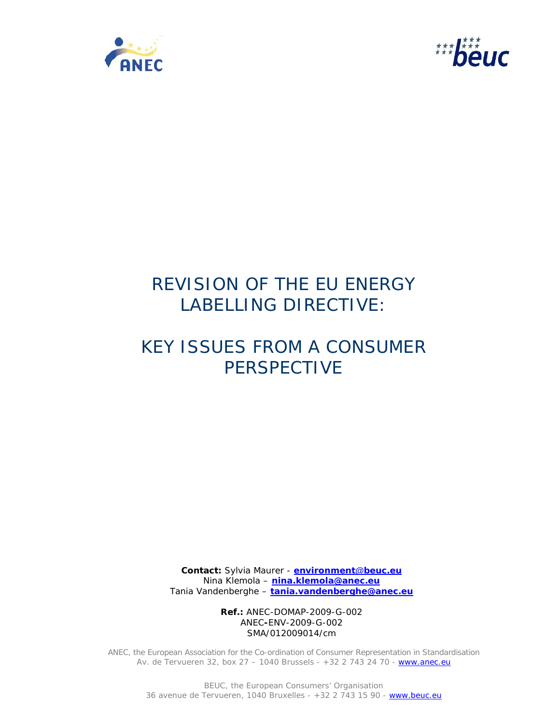



# REVISION OF THE EU ENERGY LABELLING DIRECTIVE:

# KEY ISSUES FROM A CONSUMER PERSPECTIVE

**Contact:** Sylvia Maurer - **environment@beuc.eu** Nina Klemola – **nina.klemola@anec.eu** Tania Vandenberghe – **tania.vandenberghe@anec.eu**

> **Ref.:** ANEC-DOMAP-2009-G-002 ANEC**-**ENV-2009-G-002 SMA/012009014/cm

ANEC, the European Association for the Co-ordination of Consumer Representation in Standardisation Av. de Tervueren 32, box 27 - 1040 Brussels - +32 2 743 24 70 - www.anec.eu

> BEUC, the European Consumers' Organisation 36 avenue de Tervueren, 1040 Bruxelles - +32 2 743 15 90 - www.beuc.eu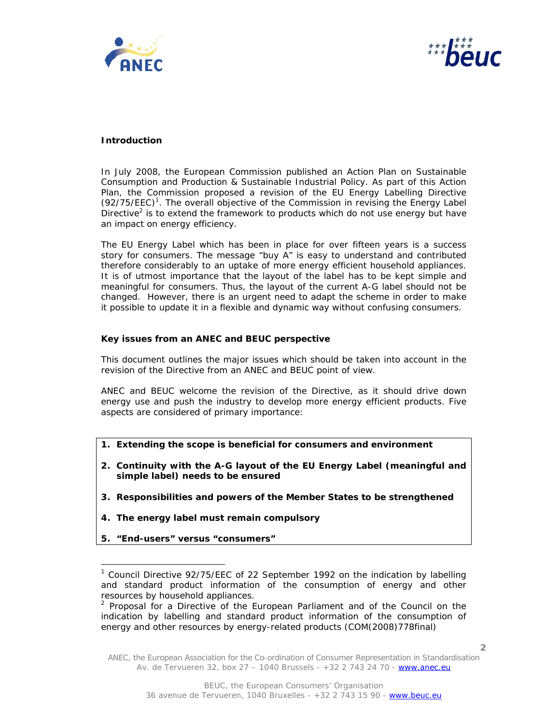



## **Introduction**

In July 2008, the European Commission published an Action Plan on Sustainable Consumption and Production & Sustainable Industrial Policy. As part of this Action Plan, the Commission proposed a revision of the EU Energy Labelling Directive  $(92/75/EEC)<sup>1</sup>$ . The overall objective of the Commission in revising the Energy Label Directive<sup>2</sup> is to extend the framework to products which do not use energy but have an impact on energy efficiency.

The EU Energy Label which has been in place for over fifteen years is a success story for consumers. The message "buy A" is easy to understand and contributed therefore considerably to an uptake of more energy efficient household appliances. It is of utmost importance that the layout of the label has to be kept simple and meaningful for consumers. Thus, the layout of the current A-G label should not be changed. However, there is an urgent need to adapt the scheme in order to make it possible to update it in a flexible and dynamic way without confusing consumers.

### **Key issues from an ANEC and BEUC perspective**

This document outlines the major issues which should be taken into account in the revision of the Directive from an ANEC and BEUC point of view.

ANEC and BEUC welcome the revision of the Directive, as it should drive down energy use and push the industry to develop more energy efficient products. Five aspects are considered of primary importance:

- **1. Extending the scope is beneficial for consumers and environment**
- **2. Continuity with the A-G layout of the EU Energy Label (meaningful and simple label) needs to be ensured**
- **3. Responsibilities and powers of the Member States to be strengthened**
- **4. The energy label must remain compulsory**
- **5. "End-users" versus "consumers"**

 $\overline{a}$ 

**2**

<sup>&</sup>lt;sup>1</sup> Council Directive 92/75/EEC of 22 September 1992 on the indication by labelling and standard product information of the consumption of energy and other resources by household appliances.

 $2$  Proposal for a Directive of the European Parliament and of the Council on the indication by labelling and standard product information of the consumption of energy and other resources by energy-related products (COM(2008)778final)

ANEC, the European Association for the Co-ordination of Consumer Representation in Standardisation Av. de Tervueren 32, box 27 – 1040 Brussels - +32 2 743 24 70 - www.anec.eu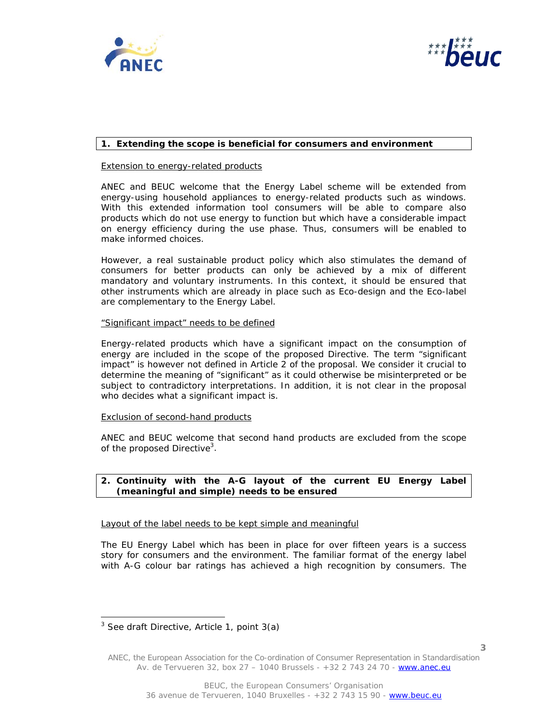



## **1. Extending the scope is beneficial for consumers and environment**

## *Extension to energy-related products*

ANEC and BEUC welcome that the Energy Label scheme will be extended from energy-using household appliances to energy-related products such as windows. With this extended information tool consumers will be able to compare also products which do not use energy to function but which have a considerable impact on energy efficiency during the use phase. Thus, consumers will be enabled to make informed choices.

However, a real sustainable product policy which also stimulates the demand of consumers for better products can only be achieved by a mix of different mandatory and voluntary instruments. In this context, it should be ensured that other instruments which are already in place such as Eco-design and the Eco-label are complementary to the Energy Label.

#### *"Significant impact" needs to be defined*

Energy-related products which have a significant impact on the consumption of energy are included in the scope of the proposed Directive. The term "significant impact" is however not defined in Article 2 of the proposal. We consider it crucial to determine the meaning of "significant" as it could otherwise be misinterpreted or be subject to contradictory interpretations. In addition, it is not clear in the proposal who decides what a significant impact is.

#### *Exclusion of second-hand products*

ANEC and BEUC welcome that second hand products are excluded from the scope of the proposed Directive<sup>3</sup>.

## **2. Continuity with the A-G layout of the current EU Energy Label (meaningful and simple) needs to be ensured**

#### *Layout of the label needs to be kept simple and meaningful*

The EU Energy Label which has been in place for over fifteen years is a success story for consumers and the environment. The familiar format of the energy label with A-G colour bar ratings has achieved a high recognition by consumers. The

j

<sup>&</sup>lt;sup>3</sup> See draft Directive, Article 1, point 3(a)

ANEC, the European Association for the Co-ordination of Consumer Representation in Standardisation Av. de Tervueren 32, box 27 – 1040 Brussels - +32 2 743 24 70 - www.anec.eu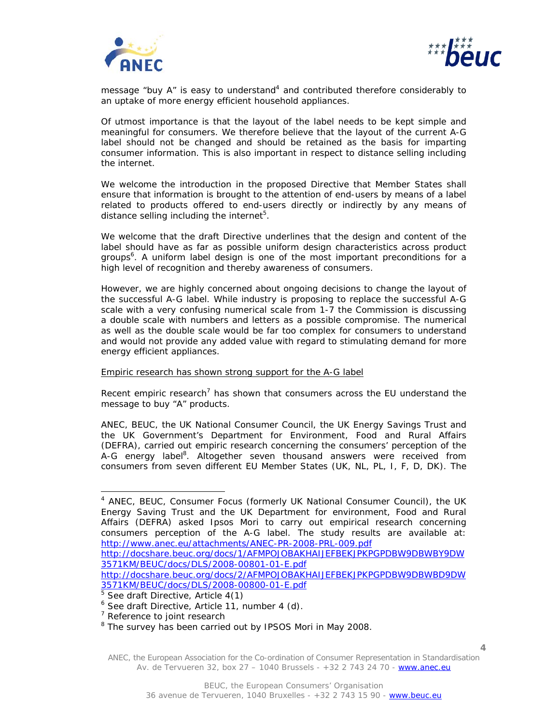



message "buy A" is easy to understand<sup>4</sup> and contributed therefore considerably to an uptake of more energy efficient household appliances.

Of utmost importance is that the layout of the label needs to be kept simple and meaningful for consumers. We therefore believe that the layout of the current A-G label should not be changed and should be retained as the basis for imparting consumer information. This is also important in respect to distance selling including the internet.

We welcome the introduction in the proposed Directive that Member States shall ensure that information is brought to the attention of end-users by means of a label related to products offered to end-users directly or indirectly by any means of distance selling including the internet<sup>5</sup>.

We welcome that the draft Directive underlines that the design and content of the label should have as far as possible uniform design characteristics across product groups<sup>6</sup>. A uniform label design is one of the most important preconditions for a high level of recognition and thereby awareness of consumers.

However, we are highly concerned about ongoing decisions to change the layout of the successful A-G label. While industry is proposing to replace the successful A-G scale with a very confusing numerical scale from 1-7 the Commission is discussing a double scale with numbers and letters as a possible compromise. The numerical as well as the double scale would be far too complex for consumers to understand and would not provide any added value with regard to stimulating demand for more energy efficient appliances.

#### *Empiric research has shown strong support for the A-G label*

Recent empiric research<sup>7</sup> has shown that consumers across the EU understand the message to buy "A" products.

ANEC, BEUC, the UK National Consumer Council, the UK Energy Savings Trust and the UK Government's Department for Environment, Food and Rural Affairs (DEFRA), carried out empiric research concerning the consumers' perception of the A-G energy label<sup>8</sup>. Altogether seven thousand answers were received from consumers from seven different EU Member States (UK, NL, PL, I, F, D, DK). The

j

<sup>&</sup>lt;sup>4</sup> ANEC, BEUC, Consumer Focus (formerly UK National Consumer Council), the UK Energy Saving Trust and the UK Department for environment, Food and Rural Affairs (DEFRA) asked Ipsos Mori to carry out empirical research concerning consumers perception of the A-G label. The study results are available at: http://www.anec.eu/attachments/ANEC-PR-2008-PRL-009.pdf

http://docshare.beuc.org/docs/1/AFMPOJOBAKHAIJEFBEKJPKPGPDBW9DBWBY9DW 3571KM/BEUC/docs/DLS/2008-00801-01-E.pdf

http://docshare.beuc.org/docs/2/AFMPOJOBAKHAIJEFBEKJPKPGPDBW9DBWBD9DW 3571KM/BEUC/docs/DLS/2008-00800-01-E.pdf 5 See draft Directive, Article 4(1)

<sup>&</sup>lt;sup>6</sup> See draft Directive, Article 11, number 4 (d).

<sup>&</sup>lt;sup>7</sup> Reference to joint research

<sup>&</sup>lt;sup>8</sup> The survey has been carried out by IPSOS Mori in May 2008.

ANEC, the European Association for the Co-ordination of Consumer Representation in Standardisation Av. de Tervueren 32, box 27 – 1040 Brussels - +32 2 743 24 70 - www.anec.eu

**<sup>4</sup>**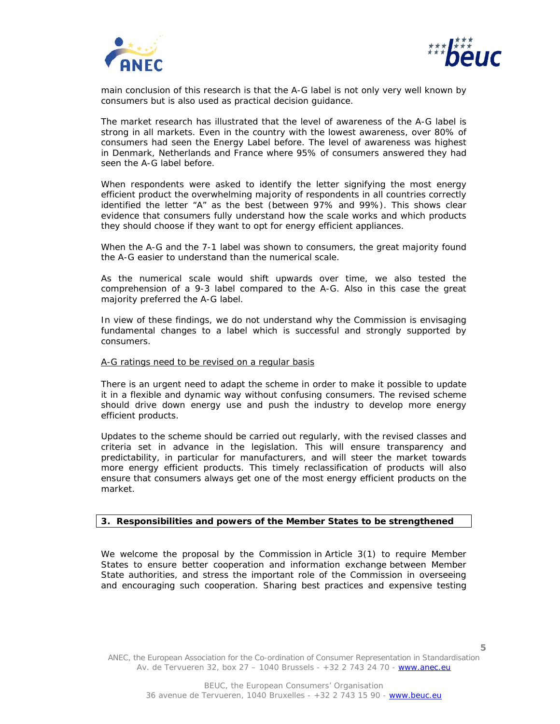



main conclusion of this research is that the A-G label is not only very well known by consumers but is also used as practical decision guidance.

The market research has illustrated that the level of awareness of the A-G label is strong in all markets. Even in the country with the lowest awareness, over 80% of consumers had seen the Energy Label before. The level of awareness was highest in Denmark, Netherlands and France where 95% of consumers answered they had seen the A-G label before.

When respondents were asked to identify the letter signifying the most energy efficient product the overwhelming majority of respondents in all countries correctly identified the letter "A" as the best (between 97% and 99%). This shows clear evidence that consumers fully understand how the scale works and which products they should choose if they want to opt for energy efficient appliances.

When the A-G and the 7-1 label was shown to consumers, the great majority found the A-G easier to understand than the numerical scale.

As the numerical scale would shift upwards over time, we also tested the comprehension of a 9-3 label compared to the A-G. Also in this case the great majority preferred the A-G label.

In view of these findings, we do not understand why the Commission is envisaging fundamental changes to a label which is successful and strongly supported by consumers.

## *A-G ratings need to be revised on a regular basis*

There is an urgent need to adapt the scheme in order to make it possible to update it in a flexible and dynamic way without confusing consumers. The revised scheme should drive down energy use and push the industry to develop more energy efficient products.

Updates to the scheme should be carried out regularly, with the revised classes and criteria set in advance in the legislation. This will ensure transparency and predictability, in particular for manufacturers, and will steer the market towards more energy efficient products. This timely reclassification of products will also ensure that consumers always get one of the most energy efficient products on the market.

## **3. Responsibilities and powers of the Member States to be strengthened**

We welcome the proposal by the Commission in Article 3(1) to require Member States to ensure better cooperation and information exchange between Member State authorities, and stress the important role of the Commission in overseeing and encouraging such cooperation. Sharing best practices and expensive testing

ANEC, the European Association for the Co-ordination of Consumer Representation in Standardisation Av. de Tervueren 32, box 27 – 1040 Brussels - +32 2 743 24 70 - www.anec.eu

**5**